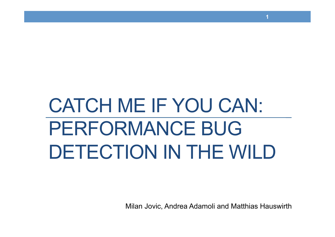# CATCH ME IF YOU CAN: PERFORMANCE BUG DETECTION IN THE WILD

Milan Jovic, Andrea Adamoli and Matthias Hauswirth

**1**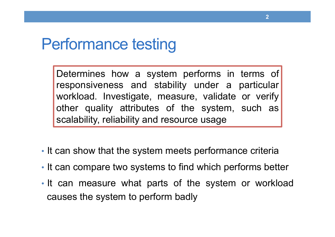### Performance testing

Determines how a system performs in terms of responsiveness and stability under a particular workload. Investigate, measure, validate or verify other quality attributes of the system, such as scalability, reliability and resource usage

- It can show that the system meets performance criteria
- It can compare two systems to find which performs better
- It can measure what parts of the system or workload causes the system to perform badly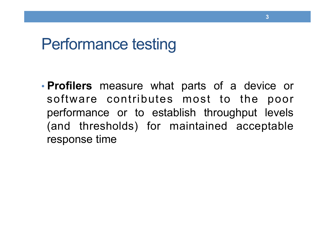### Performance testing

• **Profilers** measure what parts of a device or software contributes most to the poor performance or to establish throughput levels (and thresholds) for maintained acceptable response time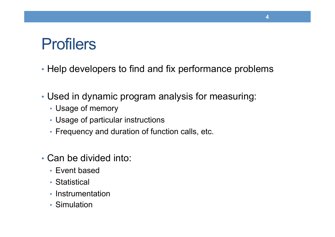# **Profilers**

• Help developers to find and fix performance problems

- Used in dynamic program analysis for measuring:
	- Usage of memory
	- Usage of particular instructions
	- Frequency and duration of function calls, etc.
- Can be divided into:
	- Event based
	- Statistical
	- Instrumentation
	- Simulation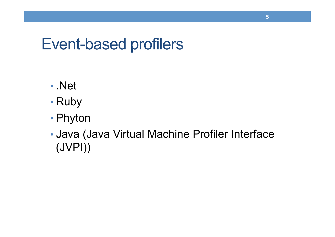# Event-based profilers

- .Net
- Ruby
- Phyton
- Java (Java Virtual Machine Profiler Interface (JVPI))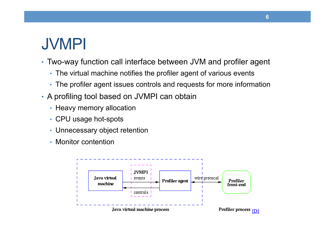# JVMPI

- Two-way function call interface between JVM and profiler agent
	- The virtual machine notifies the profiler agent of various events
	- The profiler agent issues controls and requests for more information
- A profiling tool based on JVMPI can obtain
	- Heavy memory allocation
	- CPU usage hot-spots
	- Unnecessary object retention
	- Monitor contention

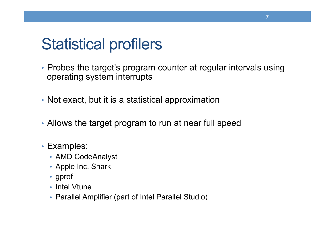# Statistical profilers

- Probes the target's program counter at regular intervals using operating system interrupts
- Not exact, but it is a statistical approximation
- Allows the target program to run at near full speed
- Examples:
	- AMD CodeAnalyst
	- Apple Inc. Shark
	- gprof
	- Intel Vtune
	- Parallel Amplifier (part of Intel Parallel Studio)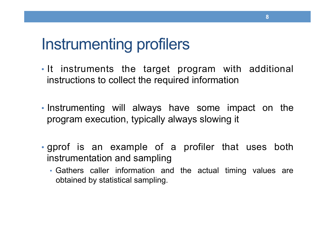# Instrumenting profilers

- It instruments the target program with additional instructions to collect the required information
- Instrumenting will always have some impact on the program execution, typically always slowing it
- gprof is an example of a profiler that uses both instrumentation and sampling
	- Gathers caller information and the actual timing values are obtained by statistical sampling.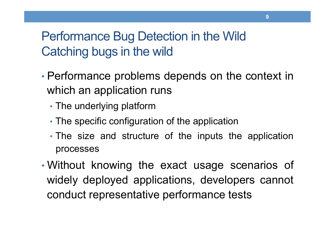### Performance Bug Detection in the Wild Catching bugs in the wild

- Performance problems depends on the context in which an application runs
	- The underlying platform
	- The specific configuration of the application
	- The size and structure of the inputs the application processes
- Without knowing the exact usage scenarios of widely deployed applications, developers cannot conduct representative performance tests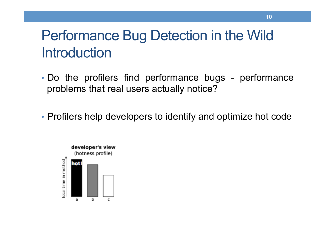## Performance Bug Detection in the Wild **Introduction**

- Do the profilers find performance bugs performance problems that real users actually notice?
- Profilers help developers to identify and optimize hot code

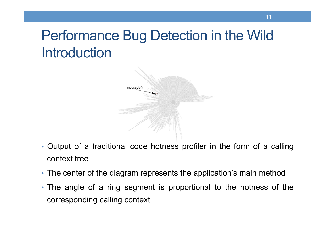# Performance Bug Detection in the Wild **Introduction**



- Output of a traditional code hotness profiler in the form of a calling context tree
- The center of the diagram represents the application's main method
- The angle of a ring segment is proportional to the hotness of the corresponding calling context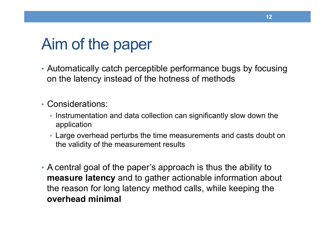# Aim of the paper

- Automatically catch perceptible performance bugs by focusing on the latency instead of the hotness of methods
- Considerations:
	- Instrumentation and data collection can significantly slow down the application
	- Large overhead perturbs the time measurements and casts doubt on the validity of the measurement results
- A central goal of the paper's approach is thus the ability to **measure latency** and to gather actionable information about the reason for long latency method calls, while keeping the **overhead minimal**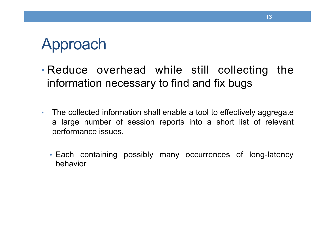# Approach

- Reduce overhead while still collecting the information necessary to find and fix bugs
- The collected information shall enable a tool to effectively aggregate a large number of session reports into a short list of relevant performance issues.
	- Each containing possibly many occurrences of long-latency behavior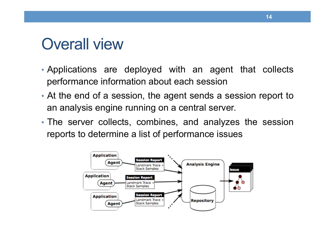### Overall view

- Applications are deployed with an agent that collects performance information about each session
- At the end of a session, the agent sends a session report to an analysis engine running on a central server.
- The server collects, combines, and analyzes the session reports to determine a list of performance issues

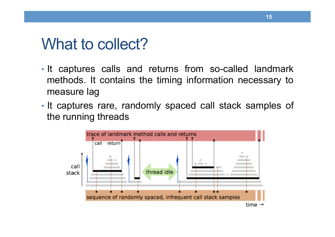### What to collect?

- It captures calls and returns from so-called landmark methods. It contains the timing information necessary to measure lag
- It captures rare, randomly spaced call stack samples of the running threads

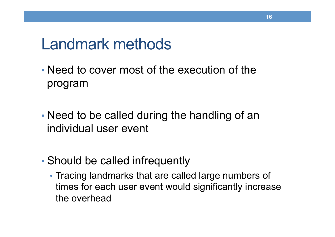### Landmark methods

- Need to cover most of the execution of the program
- Need to be called during the handling of an individual user event
- Should be called infrequently
	- Tracing landmarks that are called large numbers of times for each user event would significantly increase the overhead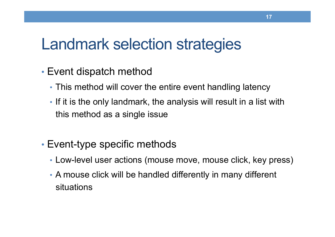# Landmark selection strategies

- Event dispatch method
	- This method will cover the entire event handling latency
	- If it is the only landmark, the analysis will result in a list with this method as a single issue
- Event-type specific methods
	- Low-level user actions (mouse move, mouse click, key press)
	- A mouse click will be handled differently in many different situations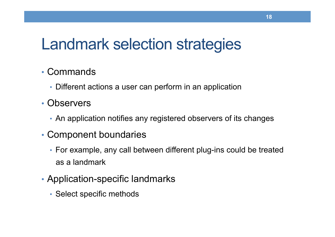# Landmark selection strategies

#### • Commands

- Different actions a user can perform in an application
- Observers
	- An application notifies any registered observers of its changes
- Component boundaries
	- For example, any call between different plug-ins could be treated as a landmark
- Application-specific landmarks
	- Select specific methods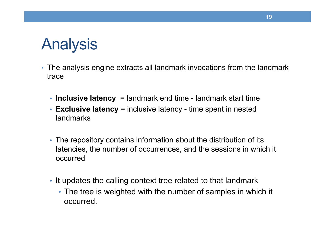# Analysis

- The analysis engine extracts all landmark invocations from the landmark trace
	- **Inclusive latency** = landmark end time landmark start time
	- **Exclusive latency** = inclusive latency time spent in nested landmarks
	- The repository contains information about the distribution of its latencies, the number of occurrences, and the sessions in which it occurred
	- It updates the calling context tree related to that landmark
		- The tree is weighted with the number of samples in which it occurred.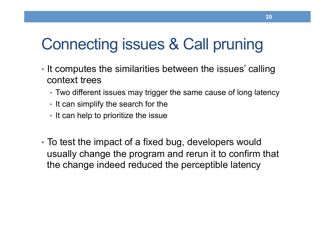# Connecting issues & Call pruning

- It computes the similarities between the issues' calling context trees
	- Two different issues may trigger the same cause of long latency
	- It can simplify the search for the
	- It can help to prioritize the issue
- To test the impact of a fixed bug, developers would usually change the program and rerun it to confirm that the change indeed reduced the perceptible latency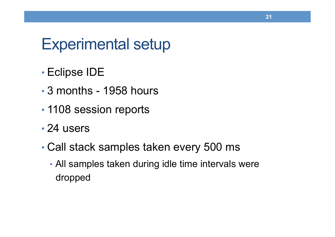### Experimental setup

- Eclipse IDE
- 3 months 1958 hours
- 1108 session reports
- 24 users
- Call stack samples taken every 500 ms
	- All samples taken during idle time intervals were dropped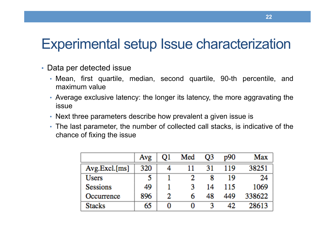### Experimental setup Issue characterization

- Data per detected issue
	- Mean, first quartile, median, second quartile, 90-th percentile, and maximum value
	- Average exclusive latency: the longer its latency, the more aggravating the issue
	- Next three parameters describe how prevalent a given issue is
	- The last parameter, the number of collected call stacks, is indicative of the chance of fixing the issue

|                 | Avg | 01 | Med | O3 | p90 | Max    |
|-----------------|-----|----|-----|----|-----|--------|
| Avg.Excl.[ms]   | 320 | 4  |     | 31 | 119 | 38251  |
| <b>Users</b>    |     |    | 2   |    | 19  | 24     |
| <b>Sessions</b> | 49  |    |     | 14 | 115 | 1069   |
| Occurrence      | 896 | 2  |     | 48 | 449 | 338622 |
| <b>Stacks</b>   | 65  | 0  |     |    | 42. | 28613  |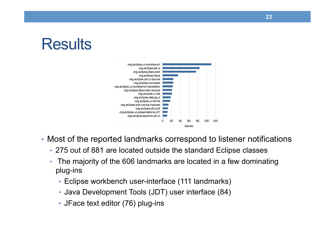# **Results**



- Most of the reported landmarks correspond to listener notifications
	- 275 out of 881 are located outside the standard Eclipse classes
	- The majority of the 606 landmarks are located in a few dominating plug-ins
		- Eclipse workbench user-interface (111 landmarks)
		- Java Development Tools (JDT) user interface (84)
		- JFace text editor (76) plug-ins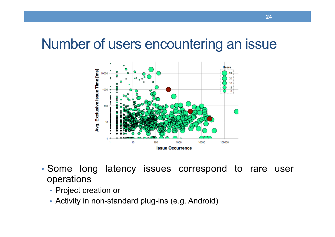### Number of users encountering an issue



- Some long latency issues correspond to rare user operations
	- Project creation or
	- Activity in non-standard plug-ins (e.g. Android)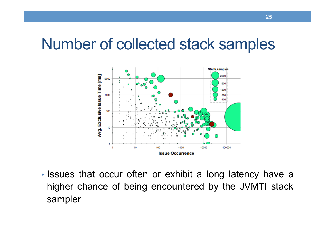### Number of collected stack samples



• Issues that occur often or exhibit a long latency have a higher chance of being encountered by the JVMTI stack sampler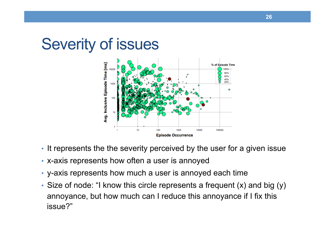### Severity of issues



- It represents the the severity perceived by the user for a given issue
- x-axis represents how often a user is annoyed
- y-axis represents how much a user is annoyed each time
- Size of node: "I know this circle represents a frequent (x) and big (y) annoyance, but how much can I reduce this annoyance if I fix this issue?"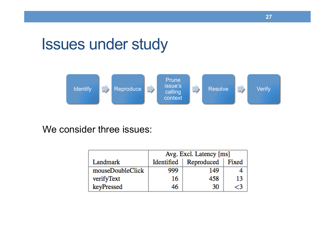# Issues under study



We consider three issues:

|                  | Avg. Excl. Latency [ms] |            |       |  |  |
|------------------|-------------------------|------------|-------|--|--|
| Landmark         | Identified              | Reproduced | Fixed |  |  |
| mouseDoubleClick | 999                     | 149        |       |  |  |
| verifyText       | 16                      | 458        | 13    |  |  |
| keyPressed       |                         | 30         |       |  |  |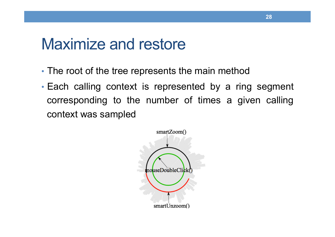### Maximize and restore

- The root of the tree represents the main method
- Each calling context is represented by a ring segment corresponding to the number of times a given calling context was sampled

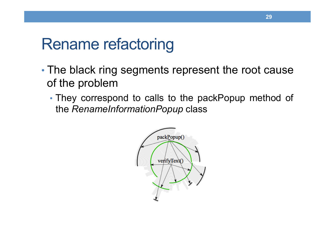## Rename refactoring

- The black ring segments represent the root cause of the problem
	- They correspond to calls to the packPopup method of the *RenameInformationPopup* class

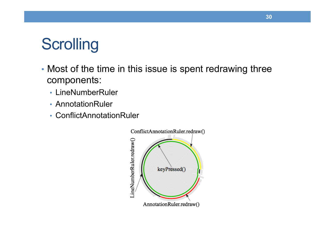# **Scrolling**

- Most of the time in this issue is spent redrawing three components:
	- LineNumberRuler
	- AnnotationRuler
	- ConflictAnnotationRuler

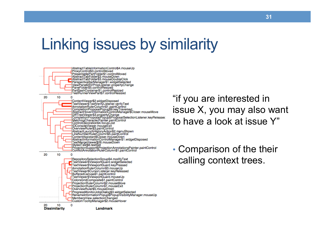# Linking issues by similarity



"if you are interested in issue X, you may also want to have a look at issue Y"

• Comparison of the their calling context trees.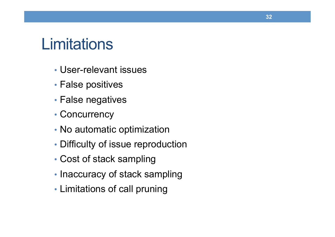### **Limitations**

- User-relevant issues
- False positives
- False negatives
- Concurrency
- No automatic optimization
- Difficulty of issue reproduction
- Cost of stack sampling
- Inaccuracy of stack sampling
- Limitations of call pruning